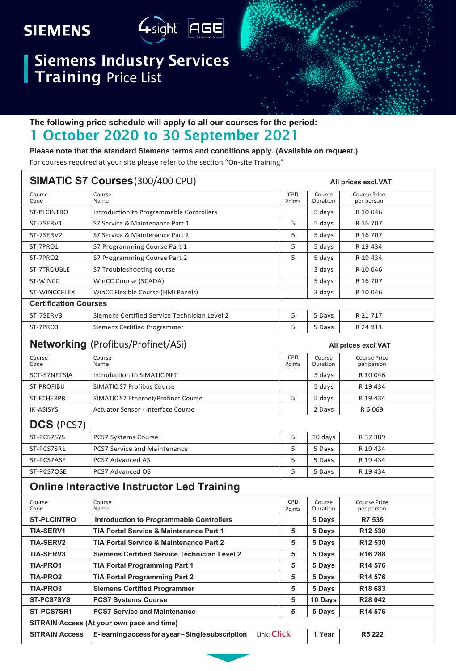## **SIEMENS**



## Siemens Industry Services Training Price List



#### **The following price schedule will apply to all our courses for the period:**

### 1 October 2020 to 30 September 2021

**Please note that the standard Siemens terms and conditions apply. (Available on request.)**

For courses required at your site please refer to the section "On-site Training"

| SIMATIC S7 Courses (300/400 CPU)<br>All prices excl. VAT |                                                                   |                      |                    |                                   |
|----------------------------------------------------------|-------------------------------------------------------------------|----------------------|--------------------|-----------------------------------|
| Course<br>Code                                           | Course<br>Name                                                    | CPD<br>Points        | Course<br>Duration | <b>Course Price</b><br>per person |
| ST-PLCINTRO                                              | Introduction to Programmable Controllers                          |                      | 5 days             | R 10 046                          |
| ST-7SERV1                                                | S7 Service & Maintenance Part 1                                   | 5                    | 5 days             | R 16 707                          |
| ST-7SERV2                                                | S7 Service & Maintenance Part 2                                   | 5                    | 5 days             | R 16 707                          |
| ST-7PRO1                                                 | S7 Programming Course Part 1                                      | 5                    | 5 days             | R 19 434                          |
| ST-7PRO2                                                 | S7 Programming Course Part 2                                      | 5                    | 5 days             | R 19 434                          |
| ST-7TROUBLE                                              | S7 Troubleshooting course                                         |                      | 3 days             | R 10 046                          |
| ST-WINCC                                                 | WinCC Course (SCADA)                                              |                      | 5 days             | R 16 707                          |
| ST-WINCCFLEX                                             | WinCC Flexible Course (HMI Panels)                                |                      | 3 days             | R 10 046                          |
| <b>Certification Courses</b>                             |                                                                   |                      |                    |                                   |
| ST-7SERV3                                                | Siemens Certified Service Technician Level 2                      | 5                    | 5 Days             | R 21 717                          |
| ST-7PRO3                                                 | Siemens Certified Programmer                                      | 5                    | 5 Days             | R 24 911                          |
|                                                          | Networking (Profibus/Profinet/ASi)                                |                      |                    | All prices excl. VAT              |
| Course<br>Code                                           | Course<br>Name                                                    | <b>CPD</b><br>Points | Course<br>Duration | <b>Course Price</b><br>per person |
| SCT-S7NETSIA                                             | Introduction to SIMATIC NET                                       |                      | 3 days             | R 10 046                          |
| <b>ST-PROFIBU</b>                                        | <b>SIMATIC S7 Profibus Course</b>                                 |                      | 5 days             | R 19 434                          |
| ST-ETHERPR                                               | SIMATIC S7 Ethernet/Profinet Course                               | 5                    | 5 days             | R 19 434                          |
| <b>IK-ASISYS</b>                                         | Actuator Sensor - Interface Course                                |                      | 2 Days             | R 6 069                           |
| <b>DCS</b> (PCS7)                                        |                                                                   |                      |                    |                                   |
| ST-PCS7SYS                                               | PCS7 Systems Course                                               | 5                    | 10 days            | R 37 389                          |
| ST-PCS7SR1                                               | <b>PCS7 Service and Maintenance</b>                               | 5                    | 5 Days             | R 19 434                          |
| ST-PCS7ASE                                               | <b>PCS7 Advanced AS</b>                                           | 5                    | 5 Days             | R 19 434                          |
| ST-PCS7OSE                                               | <b>PCS7 Advanced OS</b>                                           | 5                    | 5 Days             | R 19 434                          |
|                                                          | <b>Online Interactive Instructor Led Training</b>                 |                      |                    |                                   |
| Course<br>Code                                           | Course<br>Name                                                    | <b>CPD</b><br>Points | Course<br>Duration | <b>Course Price</b><br>per person |
| <b>ST-PLCINTRO</b>                                       | <b>Introduction to Programmable Controllers</b>                   |                      | 5 Days             | R7 535                            |
| <b>TIA-SERV1</b>                                         | TIA Portal Service & Maintenance Part 1                           | 5                    | 5 Days             | R12 530                           |
| <b>TIA-SERV2</b>                                         | TIA Portal Service & Maintenance Part 2                           | 5                    | 5 Days             | R12 530                           |
| <b>TIA-SERV3</b>                                         | <b>Siemens Certified Service Technician Level 2</b>               | 5                    | 5 Days             | R <sub>16</sub> 288               |
| <b>TIA-PRO1</b>                                          | <b>TIA Portal Programming Part 1</b>                              | 5                    | 5 Days             | R14 576                           |
| <b>TIA-PRO2</b>                                          | <b>TIA Portal Programming Part 2</b>                              | 5                    | 5 Days             | R14 576                           |
| TIA-PRO3                                                 | <b>Siemens Certified Programmer</b>                               | 5                    | 5 Days             | R18 683                           |
| <b>ST-PCS7SYS</b>                                        | <b>PCS7 Systems Course</b>                                        | 5                    | 10 Days            | R28 042                           |
| ST-PCS7SR1                                               | <b>PCS7 Service and Maintenance</b>                               | 5                    | 5 Days             | R <sub>14</sub> 576               |
| SITRAIN Access (At your own pace and time)               |                                                                   |                      |                    |                                   |
| <b>SITRAIN Access</b>                                    | E-learning access for a year - Single subscription<br>Link: Click |                      | 1 Year             | R5 222                            |

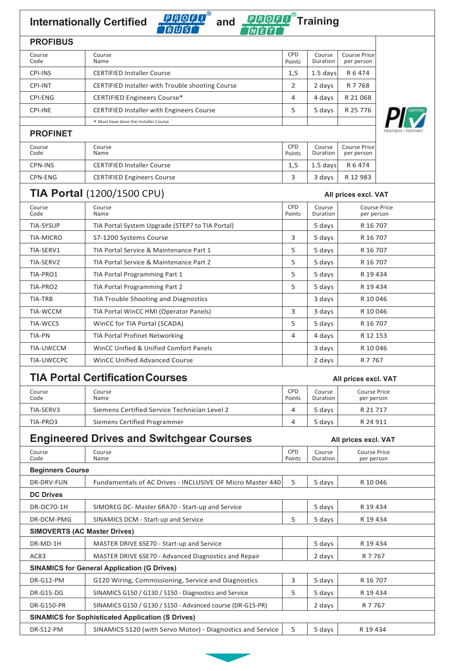# **Internationally Certified** *RRORD* and *RROPD* Training



| <b>PROFIBUS</b> |                                                         |                      |                    |                                   |  |
|-----------------|---------------------------------------------------------|----------------------|--------------------|-----------------------------------|--|
| Course<br>Code  | Course<br>Name                                          | <b>CPD</b><br>Points | Course<br>Duration | <b>Course Price</b><br>per person |  |
| <b>CPI-INS</b>  | <b>CERTIFIED Installer Course</b>                       | 1,5                  | $1.5$ days         | R 6 474                           |  |
| <b>CPI-INT</b>  | <b>CERTIFIED Installer with Trouble shooting Course</b> | 2                    | 2 days             | R 7 768                           |  |
| CPI-ENG         | <b>CERTIFIED Engineers Course*</b>                      | 4                    | 4 days             | R 21 068                          |  |
| <b>CPI-INE</b>  | <b>CERTIFIED Installer with Engineers Course</b>        | 5                    | 5 days             | R 25 776                          |  |
|                 | * Must have done the Installer Course                   |                      |                    |                                   |  |
| <b>PROFINET</b> |                                                         |                      |                    |                                   |  |
| Course<br>Code  | Course<br>Name                                          | <b>CPD</b><br>Points | Course<br>Duration | <b>Course Price</b><br>per person |  |
| CPN-INS         | <b>CERTIFIED Installer Course</b>                       | 1,5                  | $1.5$ days         | R 6 474                           |  |
| CPN-ENG         | <b>CERTIFIED Engineers Course</b>                       | 3                    | 3 days             | R 12 983                          |  |
|                 | <b>TIA Portal (1200/1500 CPU)</b>                       |                      |                    | All prices excl. VAT              |  |

| Course<br>Code   | Course<br>Name                                  | <b>CPD</b><br>Points | Course<br>Duration | <b>Course Price</b><br>per person |
|------------------|-------------------------------------------------|----------------------|--------------------|-----------------------------------|
| <b>TIA-SYSUP</b> | TIA Portal System Upgrade (STEP7 to TIA Portal) |                      | 5 days             | R 16 707                          |
| <b>TIA-MICRO</b> | S7-1200 Systems Course                          | 3                    | 5 days             | R 16 707                          |
| TIA-SERV1        | TIA Portal Service & Maintenance Part 1         | 5                    | 5 days             | R 16 707                          |
| TIA-SERV2        | TIA Portal Service & Maintenance Part 2         | 5                    | 5 days             | R 16 707                          |
| TIA-PRO1         | TIA Portal Programming Part 1                   | 5                    | 5 days             | R 19 434                          |
| TIA-PRO2         | TIA Portal Programming Part 2                   | 5                    | 5 days             | R 19 434                          |
| TIA-TRB          | TIA Trouble Shooting and Diagnostics            |                      | 3 days             | R 10 046                          |
| TIA-WCCM         | TIA Portal WinCC HMI (Operator Panels)          | 3                    | 3 days             | R 10 046                          |
| TIA-WCCS         | WinCC for TIA Portal (SCADA)                    | 5                    | 5 days             | R 16 707                          |
| TIA-PN           | TIA Portal Profinet Networking                  | 4                    | 4 days             | R 12 153                          |
| TIA-UWCCM        | WinCC Unified & Unified Comfort Panels          |                      | 3 days             | R 10 046                          |
| TIA-UWCCPC       | WinCC Unified Advanced Course                   |                      | 2 days             | R 7 7 6 7                         |

#### **TIA Portal CertificationCourses All prices excl. VAT**

| TIAT UTURI UEHINGUUN UUU SES |                                              | AII DIICES EXCI. VAT |                    |                                   |  |
|------------------------------|----------------------------------------------|----------------------|--------------------|-----------------------------------|--|
| Course<br>Code               | Course<br>Name                               | <b>CPD</b><br>Points | Course<br>Duration | <b>Course Price</b><br>per person |  |
| TIA-SERV3                    | Siemens Certified Service Technician Level 2 |                      | 5 davs             | R 21 717                          |  |
| TIA-PRO3                     | Siemens Certified Programmer                 |                      | 5 davs             | R 24 911                          |  |

# **Engineered Drives and Switchgear Courses All prices excl. VAT**

| Course<br>Code                                           | Course<br>Name                                                   | CPD<br>Points | Course<br>Duration | <b>Course Price</b><br>per person |  |
|----------------------------------------------------------|------------------------------------------------------------------|---------------|--------------------|-----------------------------------|--|
| <b>Beginners Course</b>                                  |                                                                  |               |                    |                                   |  |
| DR-DRV-FUN                                               | <b>Fundamentals of AC Drives - INCLUSIVE OF Micro Master 440</b> | 5             | 5 days             | R 10 046                          |  |
| <b>DC Drives</b>                                         |                                                                  |               |                    |                                   |  |
| DR-DC70-1H                                               | SIMOREG DC- Master 6RA70 - Start-up and Service                  |               | 5 days             | R 19 434                          |  |
| DR-DCM-PMG                                               | SINAMICS DCM - Start-up and Service                              | 5             | 5 days             | R 19 434                          |  |
| <b>SIMOVERTS (AC Master Drives)</b>                      |                                                                  |               |                    |                                   |  |
| DR-MD-1H                                                 | MASTER DRIVE 6SE70 - Start-up and Service                        |               | 5 days             | R 19 434                          |  |
| AC83                                                     | MASTER DRIVE 6SE70 - Advanced Diagnostics and Repair             |               | 2 days             | R 7 7 6 7                         |  |
| <b>SINAMICS for General Application (G Drives)</b>       |                                                                  |               |                    |                                   |  |
| DR-G12-PM                                                | G120 Wiring, Commissioning, Service and Diagnostics              | 3             | 5 days             | R 16 707                          |  |
| DR-G15-DG                                                | SINAMICS G150 / G130 / S150 - Diagnostics and Service            | 5             | 5 days             | R 19 434                          |  |
| <b>DR-G150-PR</b>                                        | SINAMICS G150 / G130 / S150 - Advanced course (DR-G15-PR)        |               | 2 days             | R 7 7 6 7                         |  |
| <b>SINAMICS for Sophisticated Application (S Drives)</b> |                                                                  |               |                    |                                   |  |
| DR-S12-PM                                                | SINAMICS S120 (with Servo Motor) - Diagnostics and Service       | 5             | 5 days             | R 19 434                          |  |